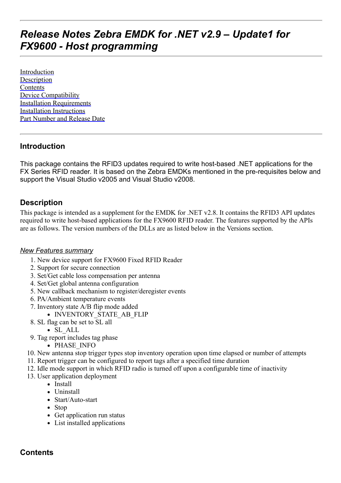# Release Notes Zebra EMDK for .NET v2.9 – Update1 for FX9600 - Host programming

[Introduction](#page-0-0) [Description](#page-0-1) **[Contents](#page-0-2)** [Device Compatibility](#page-1-0) [Installation Requirements](#page-1-1) [Installation Instructions](#page-1-2) Part Number and Release Date

### <span id="page-0-0"></span>Introduction

This package contains the RFID3 updates required to write host-based .NET applications for the FX Series RFID reader. It is based on the Zebra EMDKs mentioned in the pre-requisites below and support the Visual Studio v2005 and Visual Studio v2008.

## <span id="page-0-1"></span>**Description**

This package is intended as a supplement for the EMDK for .NET v2.8. It contains the RFID3 API updates required to write host-based applications for the FX9600 RFID reader. The features supported by the APIs are as follows. The version numbers of the DLLs are as listed below in the Versions section.

### New Features summary

- 1. New device support for FX9600 Fixed RFID Reader
- 2. Support for secure connection
- 3. Set/Get cable loss compensation per antenna
- 4. Set/Get global antenna configuration
- 5. New callback mechanism to register/deregister events
- 6. PA/Ambient temperature events
- 7. Inventory state A/B flip mode added
	- INVENTORY STATE AB FLIP
- 8. SL flag can be set to SL all
	- SL\_ALL
- 9. Tag report includes tag phase
	- PHASE INFO
- 10. New antenna stop trigger types stop inventory operation upon time elapsed or number of attempts
- 11. Report trigger can be configured to report tags after a specified time duration
- 12. Idle mode support in which RFID radio is turned off upon a configurable time of inactivity
- 13. User application deployment
	- Install
	- Uninstall
	- Start/Auto-start
	- Stop
	- Get application run status
	- List installed applications

# <span id="page-0-2"></span>**Contents**